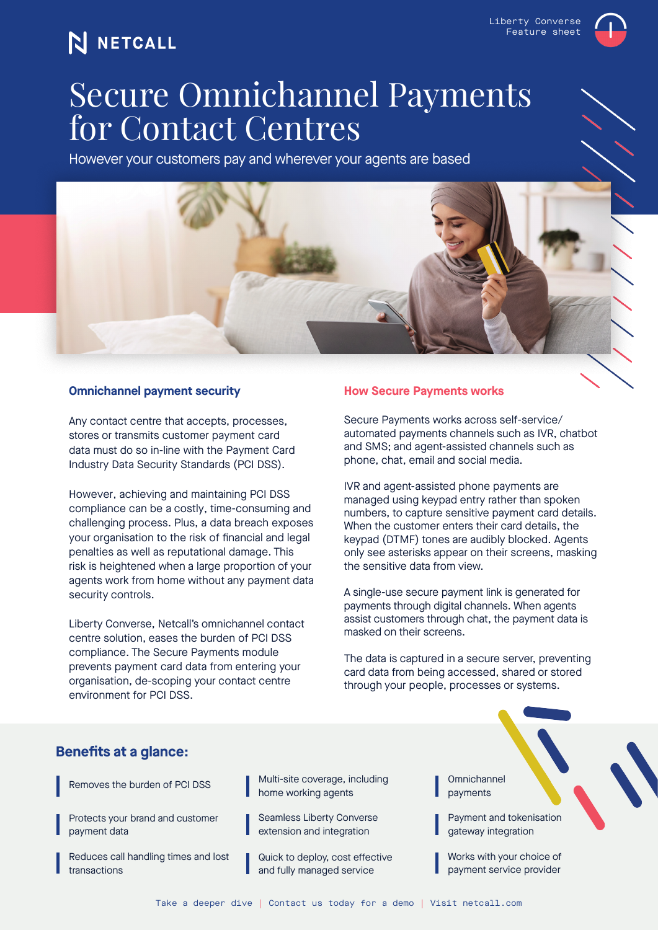### N NETCALL

Liberty Converse Feature sheet

# Secure Omnichannel Payments for Contact Centres

However your customers pay and wherever your agents are based



### **Omnichannel payment security**

Any contact centre that accepts, processes, stores or transmits customer payment card data must do so in-line with the Payment Card Industry Data Security Standards (PCI DSS).

However, achieving and maintaining PCI DSS compliance can be a costly, time-consuming and challenging process. Plus, a data breach exposes your organisation to the risk of financial and legal penalties as well as reputational damage. This risk is heightened when a large proportion of your agents work from home without any payment data security controls.

Liberty Converse, Netcall's omnichannel contact centre solution, eases the burden of PCI DSS compliance. The Secure Payments module prevents payment card data from entering your organisation, de-scoping your contact centre environment for PCI DSS.

#### **How Secure Payments works**

Secure Payments works across self-service/ automated payments channels such as IVR, chatbot and SMS; and agent-assisted channels such as phone, chat, email and social media.

IVR and agent-assisted phone payments are managed using keypad entry rather than spoken numbers, to capture sensitive payment card details. When the customer enters their card details, the keypad (DTMF) tones are audibly blocked. Agents only see asterisks appear on their screens, masking the sensitive data from view.

A single-use secure payment link is generated for payments through digital channels. When agents assist customers through chat, the payment data is masked on their screens.

The data is captured in a secure server, preventing card data from being accessed, shared or stored through your people, processes or systems.

### **Benefits at a glance:**

Removes the burden of PCI DSS

Protects your brand and customer payment data

Reduces call handling times and lost transactions

Multi-site coverage, including home working agents

Seamless Liberty Converse extension and integration

Quick to deploy, cost effective and fully managed service

Omnichannel payments

Payment and tokenisation gateway integration

Works with your choice of payment service provider